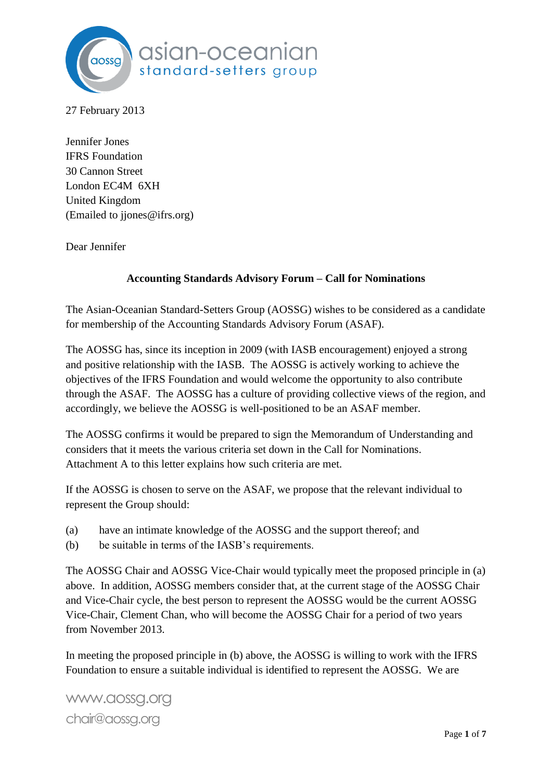

27 February 2013

Jennifer Jones IFRS Foundation 30 Cannon Street London EC4M 6XH United Kingdom (Emailed to jjones@ifrs.org)

Dear Jennifer

### **Accounting Standards Advisory Forum – Call for Nominations**

The Asian-Oceanian Standard-Setters Group (AOSSG) wishes to be considered as a candidate for membership of the Accounting Standards Advisory Forum (ASAF).

The AOSSG has, since its inception in 2009 (with IASB encouragement) enjoyed a strong and positive relationship with the IASB. The AOSSG is actively working to achieve the objectives of the IFRS Foundation and would welcome the opportunity to also contribute through the ASAF. The AOSSG has a culture of providing collective views of the region, and accordingly, we believe the AOSSG is well-positioned to be an ASAF member.

The AOSSG confirms it would be prepared to sign the Memorandum of Understanding and considers that it meets the various criteria set down in the Call for Nominations. Attachment A to this letter explains how such criteria are met.

If the AOSSG is chosen to serve on the ASAF, we propose that the relevant individual to represent the Group should:

- (a) have an intimate knowledge of the AOSSG and the support thereof; and
- (b) be suitable in terms of the IASB's requirements.

The AOSSG Chair and AOSSG Vice-Chair would typically meet the proposed principle in (a) above. In addition, AOSSG members consider that, at the current stage of the AOSSG Chair and Vice-Chair cycle, the best person to represent the AOSSG would be the current AOSSG Vice-Chair, Clement Chan, who will become the AOSSG Chair for a period of two years from November 2013.

In meeting the proposed principle in (b) above, the AOSSG is willing to work with the IFRS Foundation to ensure a suitable individual is identified to represent the AOSSG. We are

www.aossg.org chair@aossg.org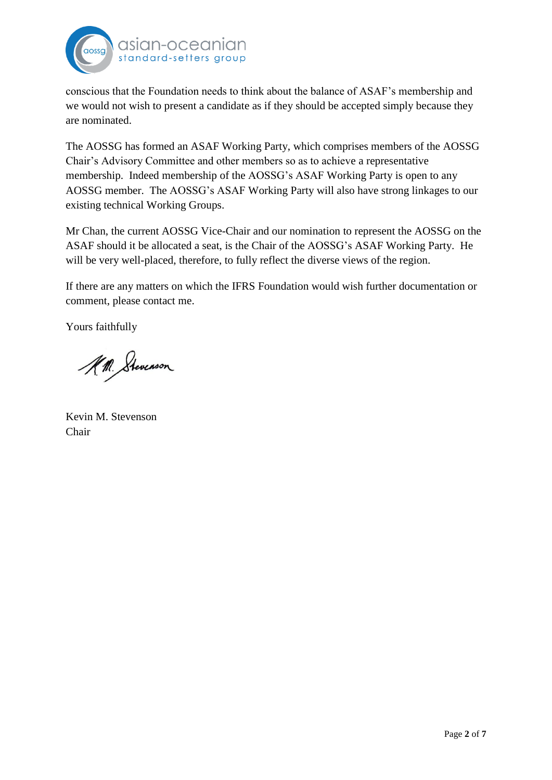

conscious that the Foundation needs to think about the balance of ASAF's membership and we would not wish to present a candidate as if they should be accepted simply because they are nominated.

The AOSSG has formed an ASAF Working Party, which comprises members of the AOSSG Chair's Advisory Committee and other members so as to achieve a representative membership. Indeed membership of the AOSSG's ASAF Working Party is open to any AOSSG member. The AOSSG's ASAF Working Party will also have strong linkages to our existing technical Working Groups.

Mr Chan, the current AOSSG Vice-Chair and our nomination to represent the AOSSG on the ASAF should it be allocated a seat, is the Chair of the AOSSG's ASAF Working Party. He will be very well-placed, therefore, to fully reflect the diverse views of the region.

If there are any matters on which the IFRS Foundation would wish further documentation or comment, please contact me.

Yours faithfully

A.M. Stevenson

Kevin M. Stevenson Chair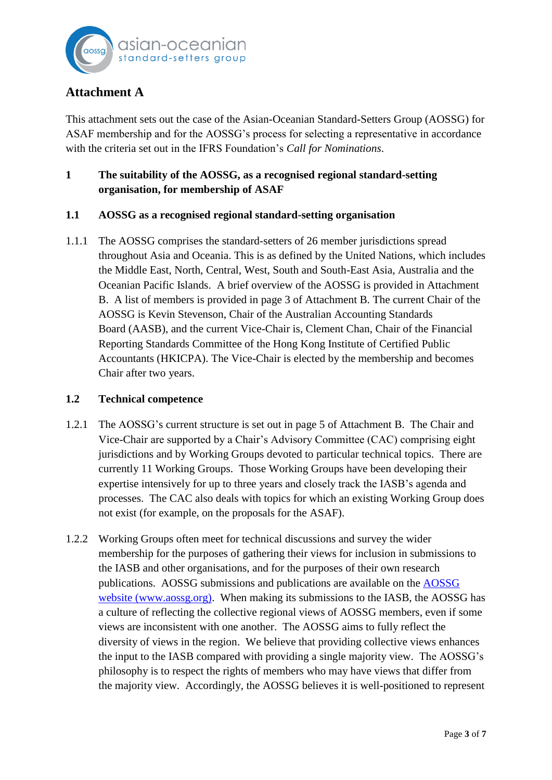

# **Attachment A**

This attachment sets out the case of the Asian-Oceanian Standard-Setters Group (AOSSG) for ASAF membership and for the AOSSG's process for selecting a representative in accordance with the criteria set out in the IFRS Foundation's *Call for Nominations*.

## **1 The suitability of the AOSSG, as a recognised regional standard-setting organisation, for membership of ASAF**

### **1.1 AOSSG as a recognised regional standard-setting organisation**

1.1.1 The AOSSG comprises the standard-setters of 26 member jurisdictions spread throughout Asia and Oceania. This is as defined by the United Nations, which includes the Middle East, North, Central, West, South and South-East Asia, Australia and the Oceanian Pacific Islands. A brief overview of the AOSSG is provided in Attachment B. A list of members is provided in page 3 of Attachment B. The current Chair of the AOSSG is Kevin Stevenson, Chair of the Australian Accounting Standards Board (AASB), and the current Vice-Chair is, Clement Chan, Chair of the Financial Reporting Standards Committee of the Hong Kong Institute of Certified Public Accountants (HKICPA). The Vice-Chair is elected by the membership and becomes Chair after two years.

#### **1.2 Technical competence**

- 1.2.1 The AOSSG's current structure is set out in page 5 of Attachment B. The Chair and Vice-Chair are supported by a Chair's Advisory Committee (CAC) comprising eight jurisdictions and by Working Groups devoted to particular technical topics. There are currently 11 Working Groups. Those Working Groups have been developing their expertise intensively for up to three years and closely track the IASB's agenda and processes. The CAC also deals with topics for which an existing Working Group does not exist (for example, on the proposals for the ASAF).
- 1.2.2 Working Groups often meet for technical discussions and survey the wider membership for the purposes of gathering their views for inclusion in submissions to the IASB and other organisations, and for the purposes of their own research publications. AOSSG submissions and publications are available on the [AOSSG](http://www.aossg.org/)  [website \(www.aossg.org\).](http://www.aossg.org/) When making its submissions to the IASB, the AOSSG has a culture of reflecting the collective regional views of AOSSG members, even if some views are inconsistent with one another. The AOSSG aims to fully reflect the diversity of views in the region. We believe that providing collective views enhances the input to the IASB compared with providing a single majority view. The AOSSG's philosophy is to respect the rights of members who may have views that differ from the majority view. Accordingly, the AOSSG believes it is well-positioned to represent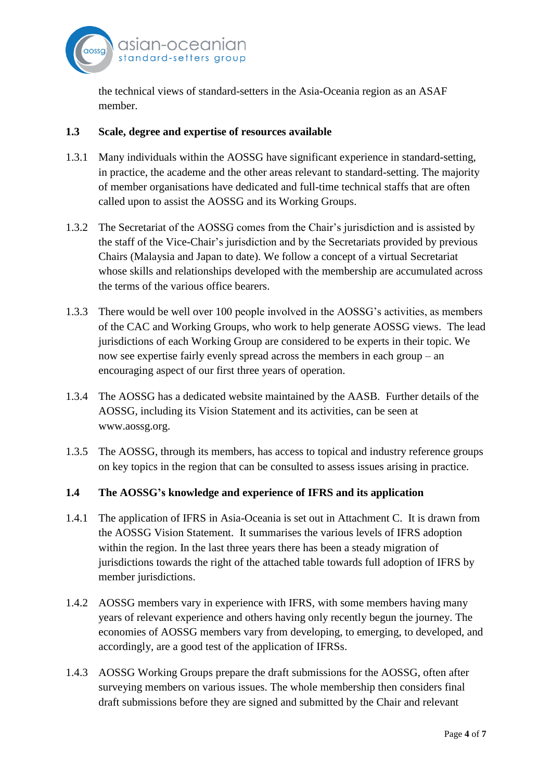

the technical views of standard-setters in the Asia-Oceania region as an ASAF member.

#### **1.3 Scale, degree and expertise of resources available**

- 1.3.1 Many individuals within the AOSSG have significant experience in standard-setting, in practice, the academe and the other areas relevant to standard-setting. The majority of member organisations have dedicated and full-time technical staffs that are often called upon to assist the AOSSG and its Working Groups.
- 1.3.2 The Secretariat of the AOSSG comes from the Chair's jurisdiction and is assisted by the staff of the Vice-Chair's jurisdiction and by the Secretariats provided by previous Chairs (Malaysia and Japan to date). We follow a concept of a virtual Secretariat whose skills and relationships developed with the membership are accumulated across the terms of the various office bearers.
- 1.3.3 There would be well over 100 people involved in the AOSSG's activities, as members of the CAC and Working Groups, who work to help generate AOSSG views. The lead jurisdictions of each Working Group are considered to be experts in their topic. We now see expertise fairly evenly spread across the members in each group – an encouraging aspect of our first three years of operation.
- 1.3.4 The AOSSG has a dedicated website maintained by the AASB. Further details of the AOSSG, including its Vision Statement and its activities, can be seen at www.aossg.org.
- 1.3.5 The AOSSG, through its members, has access to topical and industry reference groups on key topics in the region that can be consulted to assess issues arising in practice.

### **1.4 The AOSSG's knowledge and experience of IFRS and its application**

- 1.4.1 The application of IFRS in Asia-Oceania is set out in Attachment C. It is drawn from the AOSSG Vision Statement. It summarises the various levels of IFRS adoption within the region. In the last three years there has been a steady migration of jurisdictions towards the right of the attached table towards full adoption of IFRS by member jurisdictions.
- 1.4.2 AOSSG members vary in experience with IFRS, with some members having many years of relevant experience and others having only recently begun the journey. The economies of AOSSG members vary from developing, to emerging, to developed, and accordingly, are a good test of the application of IFRSs.
- 1.4.3 AOSSG Working Groups prepare the draft submissions for the AOSSG, often after surveying members on various issues. The whole membership then considers final draft submissions before they are signed and submitted by the Chair and relevant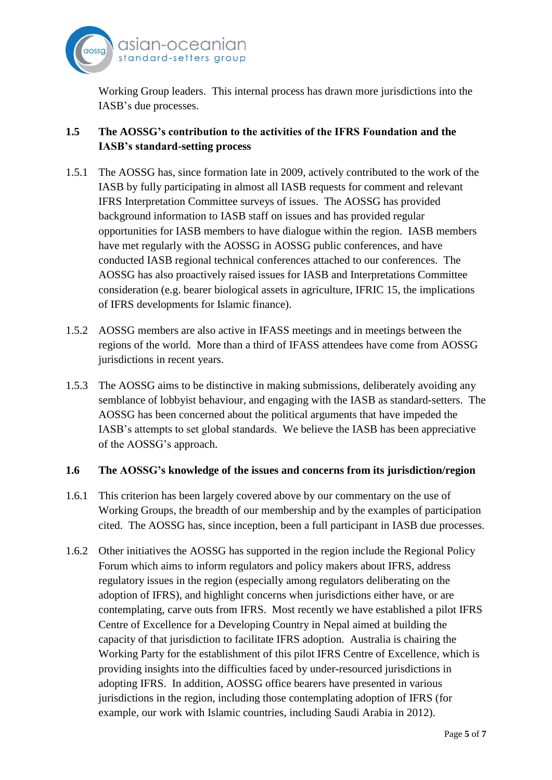

Working Group leaders. This internal process has drawn more jurisdictions into the IASB's due processes.

## **1.5 The AOSSG's contribution to the activities of the IFRS Foundation and the IASB's standard-setting process**

- 1.5.1 The AOSSG has, since formation late in 2009, actively contributed to the work of the IASB by fully participating in almost all IASB requests for comment and relevant IFRS Interpretation Committee surveys of issues. The AOSSG has provided background information to IASB staff on issues and has provided regular opportunities for IASB members to have dialogue within the region. IASB members have met regularly with the AOSSG in AOSSG public conferences, and have conducted IASB regional technical conferences attached to our conferences. The AOSSG has also proactively raised issues for IASB and Interpretations Committee consideration (e.g. bearer biological assets in agriculture, IFRIC 15, the implications of IFRS developments for Islamic finance).
- 1.5.2 AOSSG members are also active in IFASS meetings and in meetings between the regions of the world. More than a third of IFASS attendees have come from AOSSG jurisdictions in recent years.
- 1.5.3 The AOSSG aims to be distinctive in making submissions, deliberately avoiding any semblance of lobbyist behaviour, and engaging with the IASB as standard-setters. The AOSSG has been concerned about the political arguments that have impeded the IASB's attempts to set global standards. We believe the IASB has been appreciative of the AOSSG's approach.

### **1.6 The AOSSG's knowledge of the issues and concerns from its jurisdiction/region**

- 1.6.1 This criterion has been largely covered above by our commentary on the use of Working Groups, the breadth of our membership and by the examples of participation cited. The AOSSG has, since inception, been a full participant in IASB due processes.
- 1.6.2 Other initiatives the AOSSG has supported in the region include the Regional Policy Forum which aims to inform regulators and policy makers about IFRS, address regulatory issues in the region (especially among regulators deliberating on the adoption of IFRS), and highlight concerns when jurisdictions either have, or are contemplating, carve outs from IFRS. Most recently we have established a pilot IFRS Centre of Excellence for a Developing Country in Nepal aimed at building the capacity of that jurisdiction to facilitate IFRS adoption. Australia is chairing the Working Party for the establishment of this pilot IFRS Centre of Excellence, which is providing insights into the difficulties faced by under-resourced jurisdictions in adopting IFRS. In addition, AOSSG office bearers have presented in various jurisdictions in the region, including those contemplating adoption of IFRS (for example, our work with Islamic countries, including Saudi Arabia in 2012).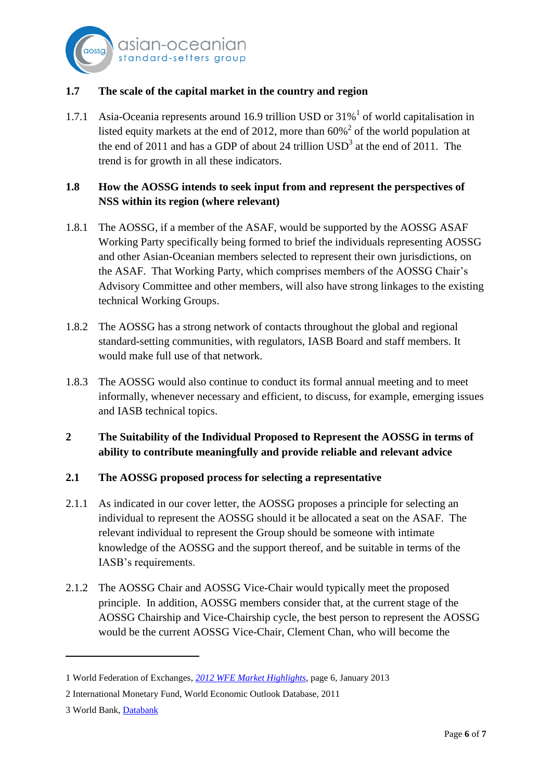

### **1.7 The scale of the capital market in the country and region**

1.7.1 Asia-Oceania represents around 16.9 trillion USD or  $31\%$ <sup>1</sup> of world capitalisation in listed equity markets at the end of 2012, more than  $60\%$ <sup>2</sup> of the world population at the end of 2011 and has a GDP of about 24 trillion  $USD^3$  at the end of 2011. The trend is for growth in all these indicators.

## **1.8 How the AOSSG intends to seek input from and represent the perspectives of NSS within its region (where relevant)**

- 1.8.1 The AOSSG, if a member of the ASAF, would be supported by the AOSSG ASAF Working Party specifically being formed to brief the individuals representing AOSSG and other Asian-Oceanian members selected to represent their own jurisdictions, on the ASAF. That Working Party, which comprises members of the AOSSG Chair's Advisory Committee and other members, will also have strong linkages to the existing technical Working Groups.
- 1.8.2 The AOSSG has a strong network of contacts throughout the global and regional standard-setting communities, with regulators, IASB Board and staff members. It would make full use of that network.
- 1.8.3 The AOSSG would also continue to conduct its formal annual meeting and to meet informally, whenever necessary and efficient, to discuss, for example, emerging issues and IASB technical topics.
- **2 The Suitability of the Individual Proposed to Represent the AOSSG in terms of ability to contribute meaningfully and provide reliable and relevant advice**

#### **2.1 The AOSSG proposed process for selecting a representative**

- 2.1.1 As indicated in our cover letter, the AOSSG proposes a principle for selecting an individual to represent the AOSSG should it be allocated a seat on the ASAF. The relevant individual to represent the Group should be someone with intimate knowledge of the AOSSG and the support thereof, and be suitable in terms of the IASB's requirements.
- 2.1.2 The AOSSG Chair and AOSSG Vice-Chair would typically meet the proposed principle. In addition, AOSSG members consider that, at the current stage of the AOSSG Chairship and Vice-Chairship cycle, the best person to represent the AOSSG would be the current AOSSG Vice-Chair, Clement Chan, who will become the

 $\overline{\phantom{a}}$ 

<sup>1</sup> World Federation of Exchanges, *[2012 WFE Market Highlights](http://www.world-exchanges.org/files/statistics/2012%20WFE%20Market%20Highlights.pdf)*, page 6, January 2013

<sup>2</sup> International Monetary Fund, World Economic Outlook Database, 2011

<sup>3</sup> World Bank[, Databank](http://data.worldbank.org/country)